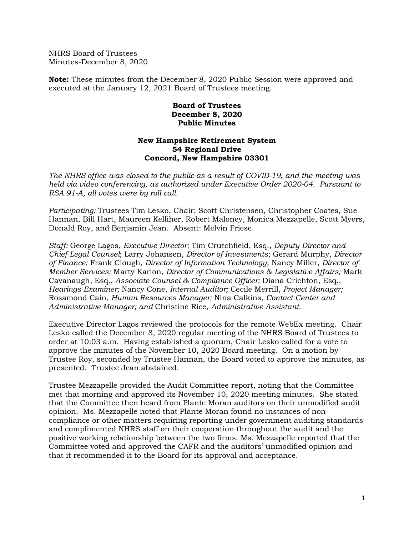NHRS Board of Trustees Minutes-December 8, 2020

**Note:** These minutes from the December 8, 2020 Public Session were approved and executed at the January 12, 2021 Board of Trustees meeting.

## **Board of Trustees December 8, 2020 Public Minutes**

## **New Hampshire Retirement System 54 Regional Drive Concord, New Hampshire 03301**

*The NHRS office was closed to the public as a result of COVID-19, and the meeting was held via video conferencing, as authorized under Executive Order 2020-04. Pursuant to RSA 91-A, all votes were by roll call.*

*Participating:* Trustees Tim Lesko, Chair; Scott Christensen, Christopher Coates, Sue Hannan, Bill Hart, Maureen Kelliher, Robert Maloney, Monica Mezzapelle, Scott Myers, Donald Roy, and Benjamin Jean. Absent: Melvin Friese.

*Staff:* George Lagos, *Executive Director;* Tim Crutchfield, Esq., *Deputy Director and Chief Legal Counsel*; Larry Johansen, *Director of Investments*; Gerard Murphy, *Director of Finance;* Frank Clough, *Director of Information Technology*; Nancy Miller, *Director of Member Services;* Marty Karlon, *Director of Communications & Legislative Affairs;* Mark Cavanaugh, Esq., *Associate Counsel & Compliance Officer;* Diana Crichton, Esq., *Hearings Examiner;* Nancy Cone, *Internal Auditor;* Cecile Merrill, *Project Manager;* Rosamond Cain, *Human Resources Manager;* Nina Calkins, *Contact Center and Administrative Manager; and* Christine Rice, *Administrative Assistant.* 

Executive Director Lagos reviewed the protocols for the remote WebEx meeting. Chair Lesko called the December 8, 2020 regular meeting of the NHRS Board of Trustees to order at 10:03 a.m. Having established a quorum, Chair Lesko called for a vote to approve the minutes of the November 10, 2020 Board meeting. On a motion by Trustee Roy, seconded by Trustee Hannan, the Board voted to approve the minutes, as presented. Trustee Jean abstained.

Trustee Mezzapelle provided the Audit Committee report, noting that the Committee met that morning and approved its November 10, 2020 meeting minutes. She stated that the Committee then heard from Plante Moran auditors on their unmodified audit opinion. Ms. Mezzapelle noted that Plante Moran found no instances of noncompliance or other matters requiring reporting under government auditing standards and complimented NHRS staff on their cooperation throughout the audit and the positive working relationship between the two firms. Ms. Mezzapelle reported that the Committee voted and approved the CAFR and the auditors' unmodified opinion and that it recommended it to the Board for its approval and acceptance.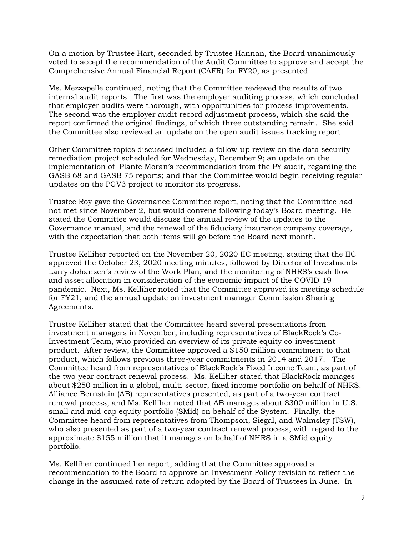On a motion by Trustee Hart, seconded by Trustee Hannan, the Board unanimously voted to accept the recommendation of the Audit Committee to approve and accept the Comprehensive Annual Financial Report (CAFR) for FY20, as presented.

Ms. Mezzapelle continued, noting that the Committee reviewed the results of two internal audit reports. The first was the employer auditing process, which concluded that employer audits were thorough, with opportunities for process improvements. The second was the employer audit record adjustment process, which she said the report confirmed the original findings, of which three outstanding remain. She said the Committee also reviewed an update on the open audit issues tracking report.

Other Committee topics discussed included a follow-up review on the data security remediation project scheduled for Wednesday, December 9; an update on the implementation of Plante Moran's recommendation from the PY audit, regarding the GASB 68 and GASB 75 reports; and that the Committee would begin receiving regular updates on the PGV3 project to monitor its progress.

Trustee Roy gave the Governance Committee report, noting that the Committee had not met since November 2, but would convene following today's Board meeting. He stated the Committee would discuss the annual review of the updates to the Governance manual, and the renewal of the fiduciary insurance company coverage, with the expectation that both items will go before the Board next month.

Trustee Kelliher reported on the November 20, 2020 IIC meeting, stating that the IIC approved the October 23, 2020 meeting minutes, followed by Director of Investments Larry Johansen's review of the Work Plan, and the monitoring of NHRS's cash flow and asset allocation in consideration of the economic impact of the COVID-19 pandemic. Next, Ms. Kelliher noted that the Committee approved its meeting schedule for FY21, and the annual update on investment manager Commission Sharing Agreements.

Trustee Kelliher stated that the Committee heard several presentations from investment managers in November, including representatives of BlackRock's Co-Investment Team, who provided an overview of its private equity co-investment product. After review, the Committee approved a \$150 million commitment to that product, which follows previous three-year commitments in 2014 and 2017. The Committee heard from representatives of BlackRock's Fixed Income Team, as part of the two-year contract renewal process. Ms. Kelliher stated that BlackRock manages about \$250 million in a global, multi-sector, fixed income portfolio on behalf of NHRS. Alliance Bernstein (AB) representatives presented, as part of a two-year contract renewal process, and Ms. Kelliher noted that AB manages about \$300 million in U.S. small and mid-cap equity portfolio (SMid) on behalf of the System. Finally, the Committee heard from representatives from Thompson, Siegal, and Walmsley (TSW), who also presented as part of a two-year contract renewal process, with regard to the approximate \$155 million that it manages on behalf of NHRS in a SMid equity portfolio.

Ms. Kelliher continued her report, adding that the Committee approved a recommendation to the Board to approve an Investment Policy revision to reflect the change in the assumed rate of return adopted by the Board of Trustees in June. In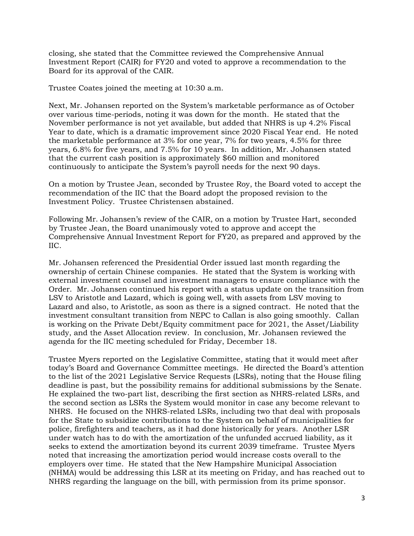closing, she stated that the Committee reviewed the Comprehensive Annual Investment Report (CAIR) for FY20 and voted to approve a recommendation to the Board for its approval of the CAIR.

Trustee Coates joined the meeting at 10:30 a.m.

Next, Mr. Johansen reported on the System's marketable performance as of October over various time-periods, noting it was down for the month. He stated that the November performance is not yet available, but added that NHRS is up 4.2% Fiscal Year to date, which is a dramatic improvement since 2020 Fiscal Year end. He noted the marketable performance at 3% for one year, 7% for two years, 4.5% for three years, 6.8% for five years, and 7.5% for 10 years. In addition, Mr. Johansen stated that the current cash position is approximately \$60 million and monitored continuously to anticipate the System's payroll needs for the next 90 days.

On a motion by Trustee Jean, seconded by Trustee Roy, the Board voted to accept the recommendation of the IIC that the Board adopt the proposed revision to the Investment Policy. Trustee Christensen abstained.

Following Mr. Johansen's review of the CAIR, on a motion by Trustee Hart, seconded by Trustee Jean, the Board unanimously voted to approve and accept the Comprehensive Annual Investment Report for FY20, as prepared and approved by the IIC.

Mr. Johansen referenced the Presidential Order issued last month regarding the ownership of certain Chinese companies. He stated that the System is working with external investment counsel and investment managers to ensure compliance with the Order. Mr. Johansen continued his report with a status update on the transition from LSV to Aristotle and Lazard, which is going well, with assets from LSV moving to Lazard and also, to Aristotle, as soon as there is a signed contract. He noted that the investment consultant transition from NEPC to Callan is also going smoothly. Callan is working on the Private Debt/Equity commitment pace for 2021, the Asset/Liability study, and the Asset Allocation review. In conclusion, Mr. Johansen reviewed the agenda for the IIC meeting scheduled for Friday, December 18.

Trustee Myers reported on the Legislative Committee, stating that it would meet after today's Board and Governance Committee meetings. He directed the Board's attention to the list of the 2021 Legislative Service Requests (LSRs), noting that the House filing deadline is past, but the possibility remains for additional submissions by the Senate. He explained the two-part list, describing the first section as NHRS-related LSRs, and the second section as LSRs the System would monitor in case any become relevant to NHRS. He focused on the NHRS-related LSRs, including two that deal with proposals for the State to subsidize contributions to the System on behalf of municipalities for police, firefighters and teachers, as it had done historically for years. Another LSR under watch has to do with the amortization of the unfunded accrued liability, as it seeks to extend the amortization beyond its current 2039 timeframe. Trustee Myers noted that increasing the amortization period would increase costs overall to the employers over time. He stated that the New Hampshire Municipal Association (NHMA) would be addressing this LSR at its meeting on Friday, and has reached out to NHRS regarding the language on the bill, with permission from its prime sponsor.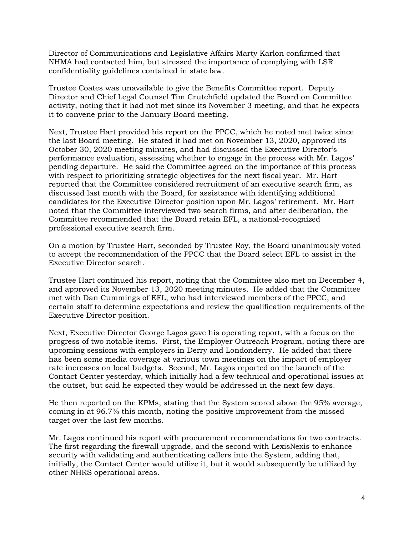Director of Communications and Legislative Affairs Marty Karlon confirmed that NHMA had contacted him, but stressed the importance of complying with LSR confidentiality guidelines contained in state law.

Trustee Coates was unavailable to give the Benefits Committee report. Deputy Director and Chief Legal Counsel Tim Crutchfield updated the Board on Committee activity, noting that it had not met since its November 3 meeting, and that he expects it to convene prior to the January Board meeting.

Next, Trustee Hart provided his report on the PPCC, which he noted met twice since the last Board meeting. He stated it had met on November 13, 2020, approved its October 30, 2020 meeting minutes, and had discussed the Executive Director's performance evaluation, assessing whether to engage in the process with Mr. Lagos' pending departure. He said the Committee agreed on the importance of this process with respect to prioritizing strategic objectives for the next fiscal year. Mr. Hart reported that the Committee considered recruitment of an executive search firm, as discussed last month with the Board, for assistance with identifying additional candidates for the Executive Director position upon Mr. Lagos' retirement. Mr. Hart noted that the Committee interviewed two search firms, and after deliberation, the Committee recommended that the Board retain EFL, a national-recognized professional executive search firm.

On a motion by Trustee Hart, seconded by Trustee Roy, the Board unanimously voted to accept the recommendation of the PPCC that the Board select EFL to assist in the Executive Director search.

Trustee Hart continued his report, noting that the Committee also met on December 4, and approved its November 13, 2020 meeting minutes. He added that the Committee met with Dan Cummings of EFL, who had interviewed members of the PPCC, and certain staff to determine expectations and review the qualification requirements of the Executive Director position.

Next, Executive Director George Lagos gave his operating report, with a focus on the progress of two notable items. First, the Employer Outreach Program, noting there are upcoming sessions with employers in Derry and Londonderry. He added that there has been some media coverage at various town meetings on the impact of employer rate increases on local budgets. Second, Mr. Lagos reported on the launch of the Contact Center yesterday, which initially had a few technical and operational issues at the outset, but said he expected they would be addressed in the next few days.

He then reported on the KPMs, stating that the System scored above the 95% average, coming in at 96.7% this month, noting the positive improvement from the missed target over the last few months.

Mr. Lagos continued his report with procurement recommendations for two contracts. The first regarding the firewall upgrade, and the second with LexisNexis to enhance security with validating and authenticating callers into the System, adding that, initially, the Contact Center would utilize it, but it would subsequently be utilized by other NHRS operational areas.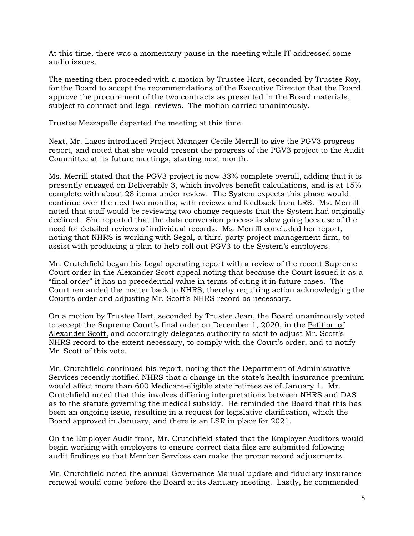At this time, there was a momentary pause in the meeting while IT addressed some audio issues.

The meeting then proceeded with a motion by Trustee Hart, seconded by Trustee Roy, for the Board to accept the recommendations of the Executive Director that the Board approve the procurement of the two contracts as presented in the Board materials, subject to contract and legal reviews. The motion carried unanimously.

Trustee Mezzapelle departed the meeting at this time.

Next, Mr. Lagos introduced Project Manager Cecile Merrill to give the PGV3 progress report, and noted that she would present the progress of the PGV3 project to the Audit Committee at its future meetings, starting next month.

Ms. Merrill stated that the PGV3 project is now 33% complete overall, adding that it is presently engaged on Deliverable 3, which involves benefit calculations, and is at 15% complete with about 28 items under review. The System expects this phase would continue over the next two months, with reviews and feedback from LRS. Ms. Merrill noted that staff would be reviewing two change requests that the System had originally declined. She reported that the data conversion process is slow going because of the need for detailed reviews of individual records. Ms. Merrill concluded her report, noting that NHRS is working with Segal, a third-party project management firm, to assist with producing a plan to help roll out PGV3 to the System's employers.

Mr. Crutchfield began his Legal operating report with a review of the recent Supreme Court order in the Alexander Scott appeal noting that because the Court issued it as a "final order" it has no precedential value in terms of citing it in future cases. The Court remanded the matter back to NHRS, thereby requiring action acknowledging the Court's order and adjusting Mr. Scott's NHRS record as necessary.

On a motion by Trustee Hart, seconded by Trustee Jean, the Board unanimously voted to accept the Supreme Court's final order on December 1, 2020, in the Petition of Alexander Scott, and accordingly delegates authority to staff to adjust Mr. Scott's NHRS record to the extent necessary, to comply with the Court's order, and to notify Mr. Scott of this vote.

Mr. Crutchfield continued his report, noting that the Department of Administrative Services recently notified NHRS that a change in the state's health insurance premium would affect more than 600 Medicare-eligible state retirees as of January 1. Mr. Crutchfield noted that this involves differing interpretations between NHRS and DAS as to the statute governing the medical subsidy. He reminded the Board that this has been an ongoing issue, resulting in a request for legislative clarification, which the Board approved in January, and there is an LSR in place for 2021.

On the Employer Audit front, Mr. Crutchfield stated that the Employer Auditors would begin working with employers to ensure correct data files are submitted following audit findings so that Member Services can make the proper record adjustments.

Mr. Crutchfield noted the annual Governance Manual update and fiduciary insurance renewal would come before the Board at its January meeting. Lastly, he commended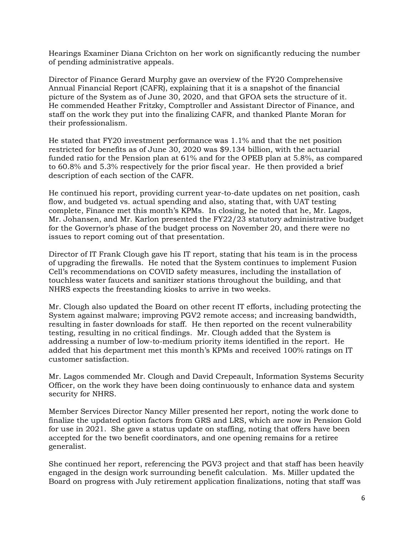Hearings Examiner Diana Crichton on her work on significantly reducing the number of pending administrative appeals.

Director of Finance Gerard Murphy gave an overview of the FY20 Comprehensive Annual Financial Report (CAFR), explaining that it is a snapshot of the financial picture of the System as of June 30, 2020, and that GFOA sets the structure of it. He commended Heather Fritzky, Comptroller and Assistant Director of Finance, and staff on the work they put into the finalizing CAFR, and thanked Plante Moran for their professionalism.

He stated that FY20 investment performance was 1.1% and that the net position restricted for benefits as of June 30, 2020 was \$9.134 billion, with the actuarial funded ratio for the Pension plan at 61% and for the OPEB plan at 5.8%, as compared to 60.8% and 5.3% respectively for the prior fiscal year. He then provided a brief description of each section of the CAFR.

He continued his report, providing current year-to-date updates on net position, cash flow, and budgeted vs. actual spending and also, stating that, with UAT testing complete, Finance met this month's KPMs. In closing, he noted that he, Mr. Lagos, Mr. Johansen, and Mr. Karlon presented the FY22/23 statutory administrative budget for the Governor's phase of the budget process on November 20, and there were no issues to report coming out of that presentation.

Director of IT Frank Clough gave his IT report, stating that his team is in the process of upgrading the firewalls. He noted that the System continues to implement Fusion Cell's recommendations on COVID safety measures, including the installation of touchless water faucets and sanitizer stations throughout the building, and that NHRS expects the freestanding kiosks to arrive in two weeks.

Mr. Clough also updated the Board on other recent IT efforts, including protecting the System against malware; improving PGV2 remote access; and increasing bandwidth, resulting in faster downloads for staff. He then reported on the recent vulnerability testing, resulting in no critical findings. Mr. Clough added that the System is addressing a number of low-to-medium priority items identified in the report. He added that his department met this month's KPMs and received 100% ratings on IT customer satisfaction.

Mr. Lagos commended Mr. Clough and David Crepeault, Information Systems Security Officer, on the work they have been doing continuously to enhance data and system security for NHRS.

Member Services Director Nancy Miller presented her report, noting the work done to finalize the updated option factors from GRS and LRS, which are now in Pension Gold for use in 2021. She gave a status update on staffing, noting that offers have been accepted for the two benefit coordinators, and one opening remains for a retiree generalist.

She continued her report, referencing the PGV3 project and that staff has been heavily engaged in the design work surrounding benefit calculation. Ms. Miller updated the Board on progress with July retirement application finalizations, noting that staff was